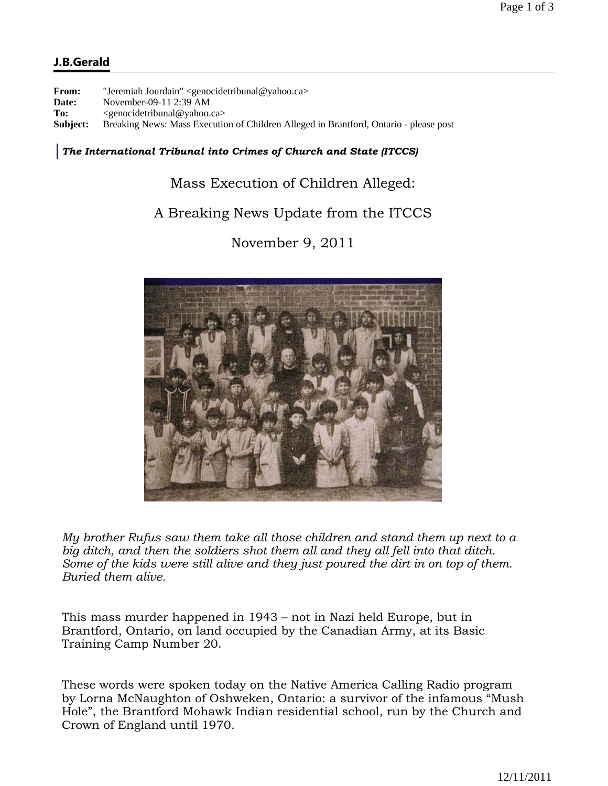## **J.B.Gerald**

**From:** "Jeremiah Jourdain" <genocidetribunal@yahoo.ca> **Date:** November-09-11 2:39 AM **To:** <genocidetribunal@yahoo.ca> **Subject:** Breaking News: Mass Execution of Children Alleged in Brantford, Ontario - please post

## *The International Tribunal into Crimes of Church and State (ITCCS)*

Mass Execution of Children Alleged:

## A Breaking News Update from the ITCCS

November 9, 2011



*My brother Rufus saw them take all those children and stand them up next to a big ditch, and then the soldiers shot them all and they all fell into that ditch. Some of the kids were still alive and they just poured the dirt in on top of them. Buried them alive.*

This mass murder happened in 1943 – not in Nazi held Europe, but in Brantford, Ontario, on land occupied by the Canadian Army, at its Basic Training Camp Number 20.

These words were spoken today on the Native America Calling Radio program by Lorna McNaughton of Oshweken, Ontario: a survivor of the infamous "Mush Hole", the Brantford Mohawk Indian residential school, run by the Church and Crown of England until 1970.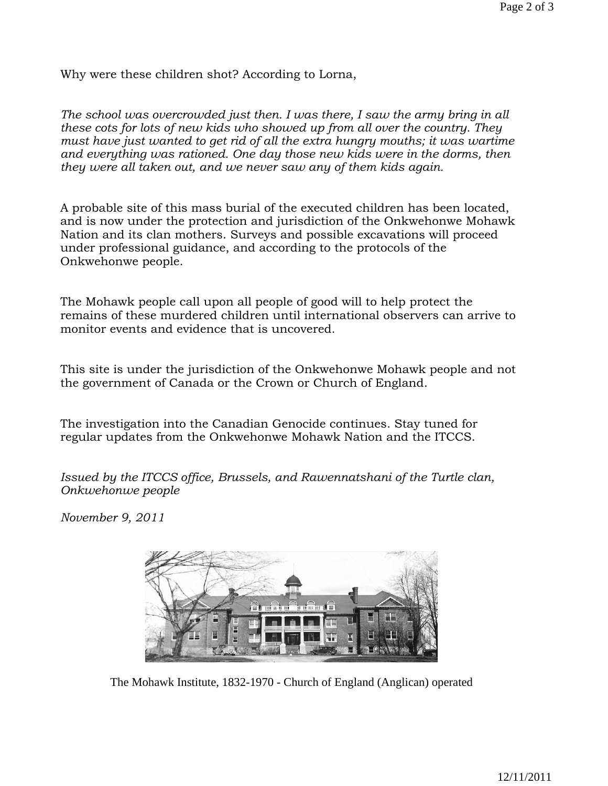Why were these children shot? According to Lorna,

*The school was overcrowded just then. I was there, I saw the army bring in all these cots for lots of new kids who showed up from all over the country. They must have just wanted to get rid of all the extra hungry mouths; it was wartime and everything was rationed. One day those new kids were in the dorms, then they were all taken out, and we never saw any of them kids again.*

A probable site of this mass burial of the executed children has been located, and is now under the protection and jurisdiction of the Onkwehonwe Mohawk Nation and its clan mothers. Surveys and possible excavations will proceed under professional guidance, and according to the protocols of the Onkwehonwe people.

The Mohawk people call upon all people of good will to help protect the remains of these murdered children until international observers can arrive to monitor events and evidence that is uncovered.

This site is under the jurisdiction of the Onkwehonwe Mohawk people and not the government of Canada or the Crown or Church of England.

The investigation into the Canadian Genocide continues. Stay tuned for regular updates from the Onkwehonwe Mohawk Nation and the ITCCS.

*Issued by the ITCCS office, Brussels, and Rawennatshani of the Turtle clan, Onkwehonwe people* 

*November 9, 2011* 



The Mohawk Institute, 1832-1970 - Church of England (Anglican) operated